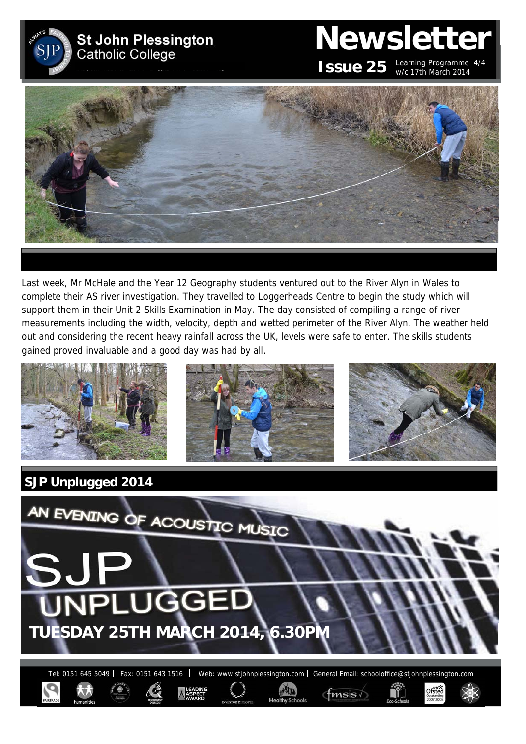

# **Newsletter ISSUE 25** Learning Programme 4/4



Last week, Mr McHale and the Year 12 Geography students ventured out to the River Alyn in Wales to complete their AS river investigation. They travelled to Loggerheads Centre to begin the study which will support them in their Unit 2 Skills Examination in May. The day consisted of compiling a range of river measurements including the width, velocity, depth and wetted perimeter of the River Alyn. The weather held out and considering the recent heavy rainfall across the UK, levels were safe to enter. The skills students gained proved invaluable and a good day was had by all.





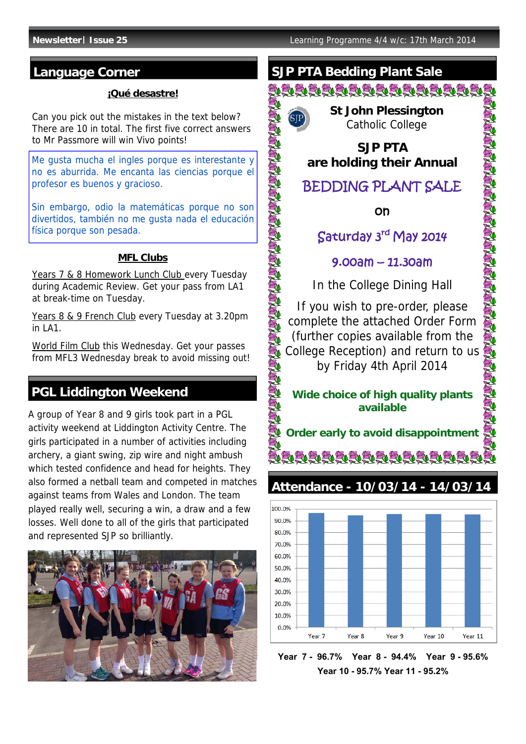#### **¡Qué desastre!**

Can you pick out the mistakes in the text below? There are 10 in total. The first five correct answers to Mr Passmore will win Vivo points!

Me gusta mucha el ingles porque es interestante y no es aburrida. Me encanta las ciencias porque el profesor es buenos y gracioso.

Sin embargo, odio la matemáticas porque no son divertidos, también no me gusta nada el educación física porque son pesada.

#### **MFL Clubs**

Years 7 & 8 Homework Lunch Club every Tuesday during Academic Review. Get your pass from LA1 at break-time on Tuesday.

Years 8 & 9 French Club every Tuesday at 3.20pm  $in I A1$ .

World Film Club this Wednesday. Get your passes from MFL3 Wednesday break to avoid missing out!

## **PGL Liddington Weekend**

A group of Year 8 and 9 girls took part in a PGL activity weekend at Liddington Activity Centre. The girls participated in a number of activities including archery, a giant swing, zip wire and night ambush which tested confidence and head for heights. They also formed a netball team and competed in matches against teams from Wales and London. The team played really well, securing a win, a draw and a few losses. Well done to all of the girls that participated and represented SJP so brilliantly.



# **Language Corner STALL SUP PTA Bedding Plant Sale**

<u>Sigigigigigigigigigigi</u>



NAME ARTHUR

**CONSTRUCTION** 

 **St John Plessington** Catholic College

**SJP PTA are holding their Annual**

# BEDDING PLANT SALE

on

# Saturday 3rd May 2014

### 9.00am – 11.30am

In the College Dining Hall

If you wish to pre-order, please complete the attached Order Form (further copies available from the College Reception) and return to us by Friday 4th April 2014

#### **Wide choice of high quality plants available**

**Order early to avoid disappointment** elelelelelelelelele

# **Attendance - 10/03/14 - 14/03/14**



**Year 7 - 96.7% Year 8 - 94.4% Year 9 - 95.6% Year 10 - 95.7% Year 11 - 95.2%**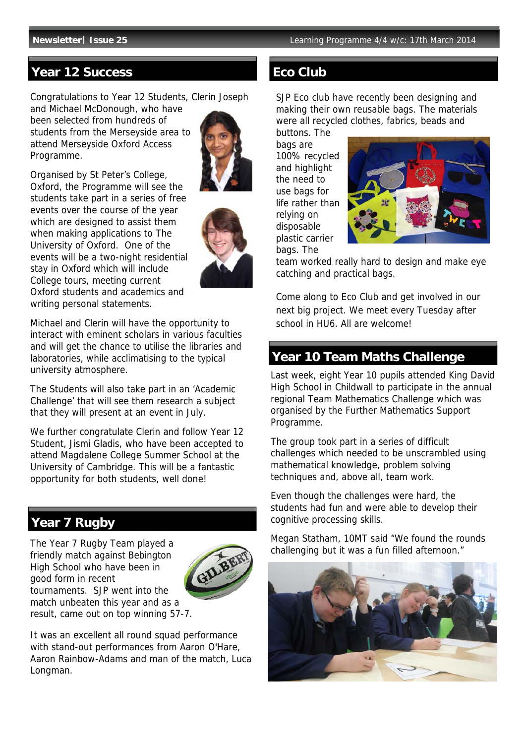#### **Year 12 Success Eco Club**

Congratulations to Year 12 Students, Clerin Joseph

and Michael McDonough, who have been selected from hundreds of students from the Merseyside area to attend Merseyside Oxford Access Programme.



Organised by St Peter's College, Oxford, the Programme will see the students take part in a series of free events over the course of the year which are designed to assist them when making applications to The University of Oxford. One of the events will be a two-night residential stay in Oxford which will include College tours, meeting current Oxford students and academics and writing personal statements.



Michael and Clerin will have the opportunity to interact with eminent scholars in various faculties and will get the chance to utilise the libraries and laboratories, while acclimatising to the typical university atmosphere.

The Students will also take part in an 'Academic Challenge' that will see them research a subject that they will present at an event in July.

We further congratulate Clerin and follow Year 12 Student, Jismi Gladis, who have been accepted to attend Magdalene College Summer School at the University of Cambridge. This will be a fantastic opportunity for both students, well done!

### **Year 7 Rugby**

The Year 7 Rugby Team played a friendly match against Bebington High School who have been in good form in recent tournaments. SJP went into the match unbeaten this year and as a result, came out on top winning 57-7.



It was an excellent all round squad performance with stand-out performances from Aaron O'Hare, Aaron Rainbow-Adams and man of the match, Luca Longman.

SJP Eco club have recently been designing and making their own reusable bags. The materials were all recycled clothes, fabrics, beads and

buttons. The bags are 100% recycled and highlight the need to use bags for life rather than relying on disposable plastic carrier bags. The



team worked really hard to design and make eye catching and practical bags.

Come along to Eco Club and get involved in our next big project. We meet every Tuesday after school in HU6. All are welcome!

### **Year 10 Team Maths Challenge**

Last week, eight Year 10 pupils attended King David High School in Childwall to participate in the annual regional Team Mathematics Challenge which was organised by the Further Mathematics Support Programme.

The group took part in a series of difficult challenges which needed to be unscrambled using mathematical knowledge, problem solving techniques and, above all, team work.

Even though the challenges were hard, the students had fun and were able to develop their cognitive processing skills.

Megan Statham, 10MT said "We found the rounds challenging but it was a fun filled afternoon."